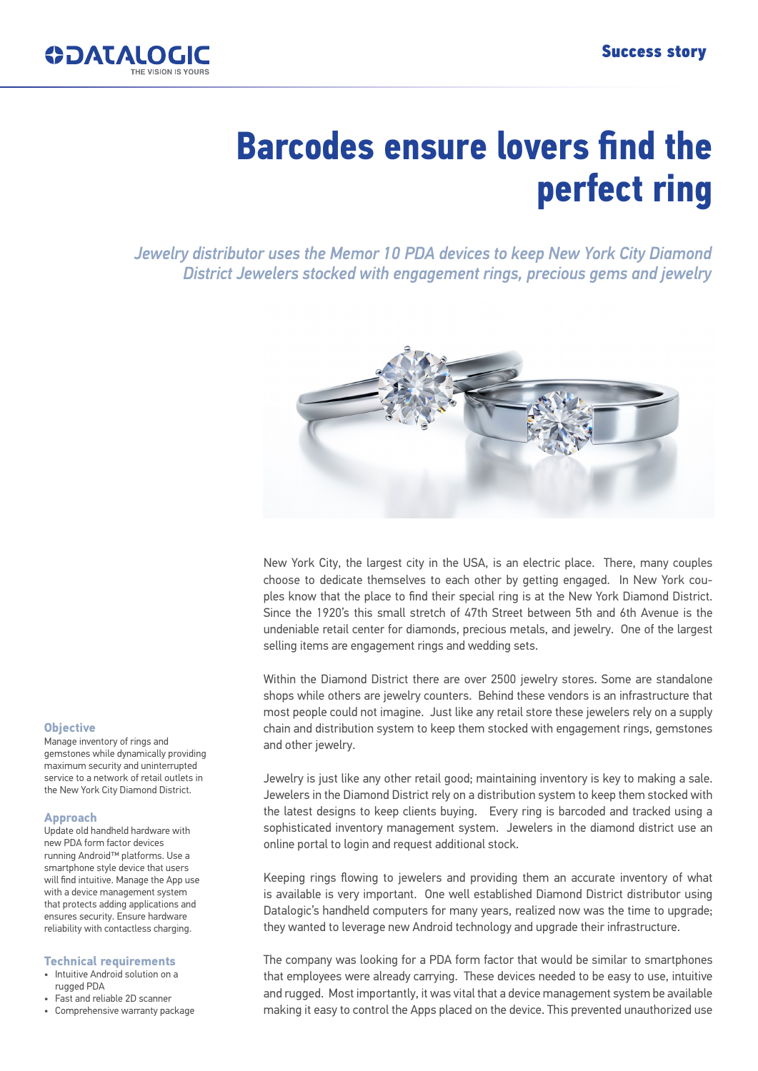

# **Barcodes ensure lovers find the perfect ring**

*Jewelry distributor uses the Memor 10 PDA devices to keep New York City Diamond District Jewelers stocked with engagement rings, precious gems and jewelry*



New York City, the largest city in the USA, is an electric place. There, many couples choose to dedicate themselves to each other by getting engaged. In New York couples know that the place to find their special ring is at the New York Diamond District. Since the 1920's this small stretch of 47th Street between 5th and 6th Avenue is the undeniable retail center for diamonds, precious metals, and jewelry. One of the largest selling items are engagement rings and wedding sets.

Within the Diamond District there are over 2500 jewelry stores. Some are standalone shops while others are jewelry counters. Behind these vendors is an infrastructure that most people could not imagine. Just like any retail store these jewelers rely on a supply chain and distribution system to keep them stocked with engagement rings, gemstones and other jewelry.

Jewelry is just like any other retail good; maintaining inventory is key to making a sale. Jewelers in the Diamond District rely on a distribution system to keep them stocked with the latest designs to keep clients buying. Every ring is barcoded and tracked using a sophisticated inventory management system. Jewelers in the diamond district use an online portal to login and request additional stock.

Keeping rings flowing to jewelers and providing them an accurate inventory of what is available is very important. One well established Diamond District distributor using Datalogic's handheld computers for many years, realized now was the time to upgrade; they wanted to leverage new Android technology and upgrade their infrastructure.

The company was looking for a PDA form factor that would be similar to smartphones that employees were already carrying. These devices needed to be easy to use, intuitive and rugged. Most importantly, it was vital that a device management system be available making it easy to control the Apps placed on the device. This prevented unauthorized use

#### **Objective**

Manage inventory of rings and gemstones while dynamically providing maximum security and uninterrupted service to a network of retail outlets in the New York City Diamond District.

#### **Approach**

Update old handheld hardware with new PDA form factor devices running Android™ platforms. Use a smartphone style device that users will find intuitive. Manage the App use with a device management system that protects adding applications and ensures security. Ensure hardware reliability with contactless charging.

#### **Technical requirements**

- Intuitive Android solution on a rugged PDA
- Fast and reliable 2D scanner
- Comprehensive warranty package